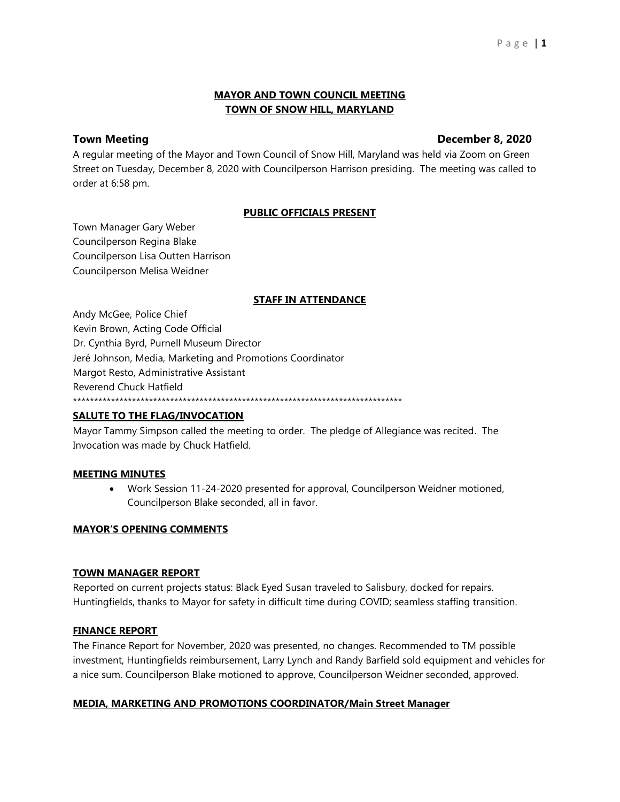# **MAYOR AND TOWN COUNCIL MEETING TOWN OF SNOW HILL, MARYLAND**

# **Town Meeting December 8, 2020**

A regular meeting of the Mayor and Town Council of Snow Hill, Maryland was held via Zoom on Green Street on Tuesday, December 8, 2020 with Councilperson Harrison presiding. The meeting was called to order at 6:58 pm.

# **PUBLIC OFFICIALS PRESENT**

Town Manager Gary Weber Councilperson Regina Blake Councilperson Lisa Outten Harrison Councilperson Melisa Weidner

## **STAFF IN ATTENDANCE**

Andy McGee, Police Chief Kevin Brown, Acting Code Official Dr. Cynthia Byrd, Purnell Museum Director Jeré Johnson, Media, Marketing and Promotions Coordinator Margot Resto, Administrative Assistant Reverend Chuck Hatfield \*\*\*\*\*\*\*\*\*\*\*\*\*\*\*\*\*\*\*\*\*\*\*\*\*\*\*\*\*\*\*\*\*\*\*\*\*\*\*\*\*\*\*\*\*\*\*\*\*\*\*\*\*\*\*\*\*\*\*\*\*\*\*\*\*\*\*\*\*\*\*\*\*\*\*\*\*\*

# **SALUTE TO THE FLAG/INVOCATION**

Mayor Tammy Simpson called the meeting to order. The pledge of Allegiance was recited. The Invocation was made by Chuck Hatfield.

## **MEETING MINUTES**

• Work Session 11-24-2020 presented for approval, Councilperson Weidner motioned, Councilperson Blake seconded, all in favor.

## **MAYOR'S OPENING COMMENTS**

## **TOWN MANAGER REPORT**

Reported on current projects status: Black Eyed Susan traveled to Salisbury, docked for repairs. Huntingfields, thanks to Mayor for safety in difficult time during COVID; seamless staffing transition.

## **FINANCE REPORT**

The Finance Report for November, 2020 was presented, no changes. Recommended to TM possible investment, Huntingfields reimbursement, Larry Lynch and Randy Barfield sold equipment and vehicles for a nice sum. Councilperson Blake motioned to approve, Councilperson Weidner seconded, approved.

## **MEDIA, MARKETING AND PROMOTIONS COORDINATOR/Main Street Manager**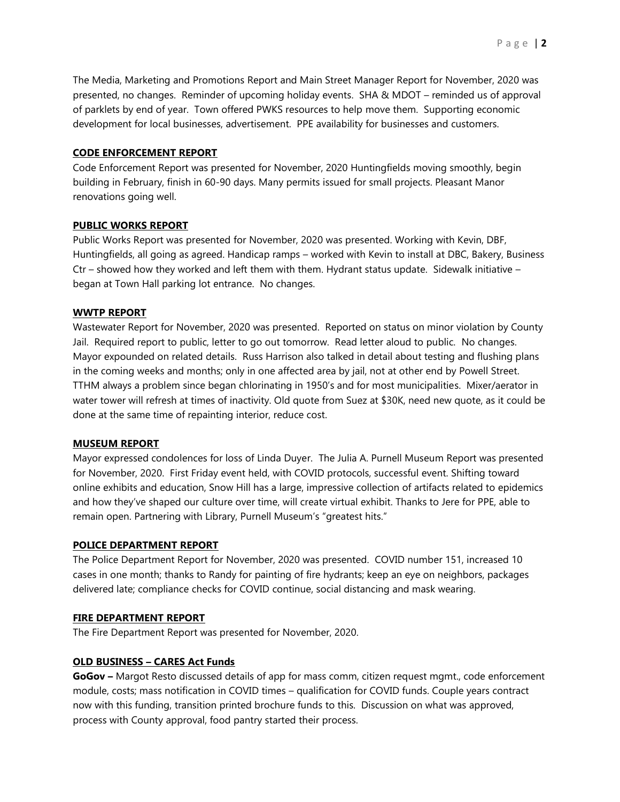The Media, Marketing and Promotions Report and Main Street Manager Report for November, 2020 was presented, no changes. Reminder of upcoming holiday events. SHA & MDOT – reminded us of approval of parklets by end of year. Town offered PWKS resources to help move them. Supporting economic development for local businesses, advertisement. PPE availability for businesses and customers.

### **CODE ENFORCEMENT REPORT**

Code Enforcement Report was presented for November, 2020 Huntingfields moving smoothly, begin building in February, finish in 60-90 days. Many permits issued for small projects. Pleasant Manor renovations going well.

#### **PUBLIC WORKS REPORT**

Public Works Report was presented for November, 2020 was presented. Working with Kevin, DBF, Huntingfields, all going as agreed. Handicap ramps – worked with Kevin to install at DBC, Bakery, Business Ctr – showed how they worked and left them with them. Hydrant status update. Sidewalk initiative – began at Town Hall parking lot entrance. No changes.

#### **WWTP REPORT**

Wastewater Report for November, 2020 was presented. Reported on status on minor violation by County Jail. Required report to public, letter to go out tomorrow. Read letter aloud to public. No changes. Mayor expounded on related details. Russ Harrison also talked in detail about testing and flushing plans in the coming weeks and months; only in one affected area by jail, not at other end by Powell Street. TTHM always a problem since began chlorinating in 1950's and for most municipalities. Mixer/aerator in water tower will refresh at times of inactivity. Old quote from Suez at \$30K, need new quote, as it could be done at the same time of repainting interior, reduce cost.

#### **MUSEUM REPORT**

Mayor expressed condolences for loss of Linda Duyer. The Julia A. Purnell Museum Report was presented for November, 2020. First Friday event held, with COVID protocols, successful event. Shifting toward online exhibits and education, Snow Hill has a large, impressive collection of artifacts related to epidemics and how they've shaped our culture over time, will create virtual exhibit. Thanks to Jere for PPE, able to remain open. Partnering with Library, Purnell Museum's "greatest hits."

#### **POLICE DEPARTMENT REPORT**

The Police Department Report for November, 2020 was presented. COVID number 151, increased 10 cases in one month; thanks to Randy for painting of fire hydrants; keep an eye on neighbors, packages delivered late; compliance checks for COVID continue, social distancing and mask wearing.

#### **FIRE DEPARTMENT REPORT**

The Fire Department Report was presented for November, 2020.

#### **OLD BUSINESS – CARES Act Funds**

**GoGov –** Margot Resto discussed details of app for mass comm, citizen request mgmt., code enforcement module, costs; mass notification in COVID times – qualification for COVID funds. Couple years contract now with this funding, transition printed brochure funds to this. Discussion on what was approved, process with County approval, food pantry started their process.